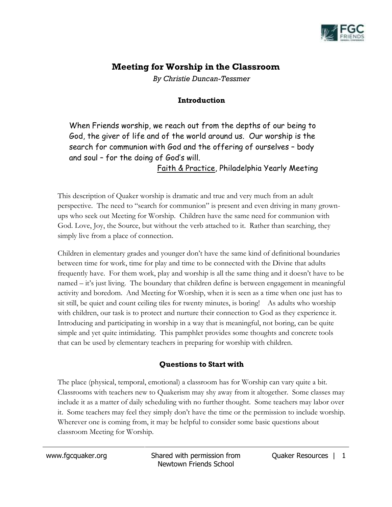

# **Meeting for Worship in the Classroom**

*By Christie Duncan-Tessmer*

## **Introduction**

When Friends worship, we reach out from the depths of our being to God, the giver of life and of the world around us. Our worship is the search for communion with God and the offering of ourselves – body and soul – for the doing of God's will.

Faith & Practice, Philadelphia Yearly Meeting

This description of Quaker worship is dramatic and true and very much from an adult perspective. The need to "search for communion" is present and even driving in many grownups who seek out Meeting for Worship. Children have the same need for communion with God. Love, Joy, the Source, but without the verb attached to it. Rather than searching, they simply live from a place of connection.

Children in elementary grades and younger don't have the same kind of definitional boundaries between time for work, time for play and time to be connected with the Divine that adults frequently have. For them work, play and worship is all the same thing and it doesn't have to be named – it's just living. The boundary that children define is between engagement in meaningful activity and boredom. And Meeting for Worship, when it is seen as a time when one just has to sit still, be quiet and count ceiling tiles for twenty minutes, is boring! As adults who worship with children, our task is to protect and nurture their connection to God as they experience it. Introducing and participating in worship in a way that is meaningful, not boring, can be quite simple and yet quite intimidating. This pamphlet provides some thoughts and concrete tools that can be used by elementary teachers in preparing for worship with children.

## **Questions to Start with**

The place (physical, temporal, emotional) a classroom has for Worship can vary quite a bit. Classrooms with teachers new to Quakerism may shy away from it altogether. Some classes may include it as a matter of daily scheduling with no further thought. Some teachers may labor over it. Some teachers may feel they simply don't have the time or the permission to include worship. Wherever one is coming from, it may be helpful to consider some basic questions about classroom Meeting for Worship.

www.fgcquaker.org Shared with permission from Newtown Friends School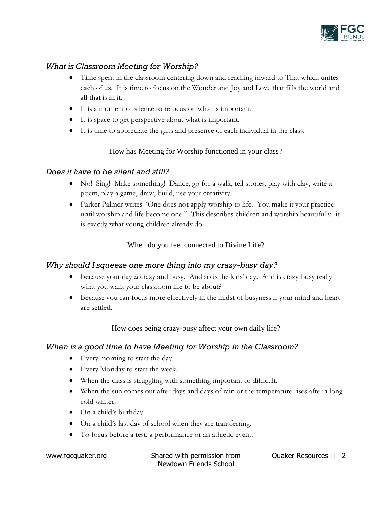

## *What is Classroom Meeting for Worship?*

- Time spent in the classroom centering down and reaching inward to That which unites each of us. It is time to focus on the Wonder and Joy and Love that fills the world and all that is in it.
- It is a moment of silence to refocus on what is important.
- It is space to get perspective about what is important.
- It is time to appreciate the gifts and presence of each individual in the class.

#### How has Meeting for Worship functioned in your class?

#### *Does it have to be silent and still?*

- No! Sing! Make something! Dance, go for a walk, tell stories, play with clay, write a poem, play a game, draw, build, use your creativity!
- Parker Palmer writes "One does not apply worship to life. You make it your practice until worship and life become one." This describes children and worship beautifully -it is exactly what young children already do.

### When do you feel connected to Divine Life?

### *Why should I squeeze one more thing into my crazy-busy day?*

- Because your day *is* crazy and busy. And so is the kids' day. And is crazy-busy really what you want your classroom life to be about?
- Because you can focus more effectively in the midst of busyness if your mind and heart are settled.

#### How does being crazy-busy affect your own daily life?

### *When is a good time to have Meeting for Worship in the Classroom?*

- Every morning to start the day.
- Every Monday to start the week.
- When the class is struggling with something important or difficult.
- When the sun comes out after days and days of rain or the temperature rises after a long cold winter.
- On a child's birthday.
- On a child's last day of school when they are transferring.
- To focus before a test, a performance or an athletic event.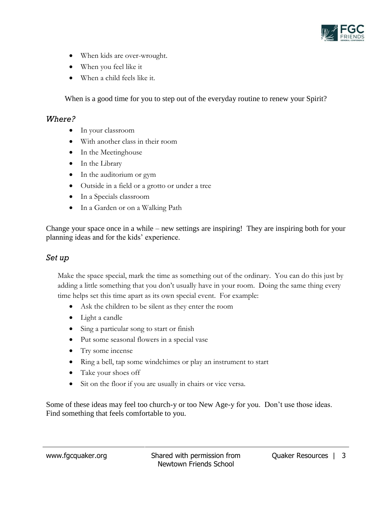

- When kids are over-wrought.
- When you feel like it
- When a child feels like it.

When is a good time for you to step out of the everyday routine to renew your Spirit?

#### *Where?*

- In your classroom
- With another class in their room
- In the Meetinghouse
- In the Library
- In the auditorium or gym
- Outside in a field or a grotto or under a tree
- In a Specials classroom
- In a Garden or on a Walking Path

Change your space once in a while – new settings are inspiring! They are inspiring both for your planning ideas and for the kids' experience.

#### *Set up*

Make the space special, mark the time as something out of the ordinary. You can do this just by adding a little something that you don't usually have in your room. Doing the same thing every time helps set this time apart as its own special event. For example:

- Ask the children to be silent as they enter the room
- Light a candle
- Sing a particular song to start or finish
- Put some seasonal flowers in a special vase
- Try some incense
- Ring a bell, tap some windchimes or play an instrument to start
- Take your shoes off
- Sit on the floor if you are usually in chairs or vice versa.

Some of these ideas may feel too church-y or too New Age-y for you. Don't use those ideas. Find something that feels comfortable to you.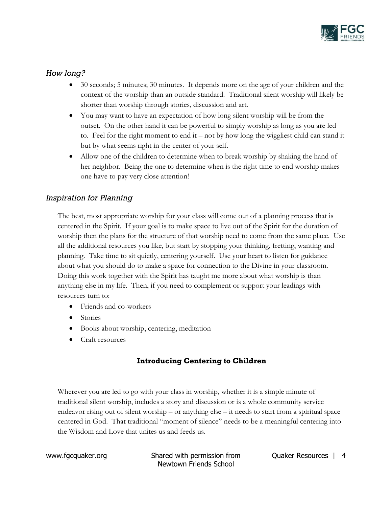

## *How long?*

- 30 seconds; 5 minutes; 30 minutes. It depends more on the age of your children and the context of the worship than an outside standard. Traditional silent worship will likely be shorter than worship through stories, discussion and art.
- You may want to have an expectation of how long silent worship will be from the outset. On the other hand it can be powerful to simply worship as long as you are led to. Feel for the right moment to end it – not by how long the wiggliest child can stand it but by what seems right in the center of your self.
- Allow one of the children to determine when to break worship by shaking the hand of her neighbor. Being the one to determine when is the right time to end worship makes one have to pay very close attention!

## *Inspiration for Planning*

The best, most appropriate worship for your class will come out of a planning process that is centered in the Spirit. If your goal is to make space to live out of the Spirit for the duration of worship then the plans for the structure of that worship need to come from the same place. Use all the additional resources you like, but start by stopping your thinking, fretting, wanting and planning. Take time to sit quietly, centering yourself. Use your heart to listen for guidance about what you should do to make a space for connection to the Divine in your classroom. Doing this work together with the Spirit has taught me more about what worship is than anything else in my life. Then, if you need to complement or support your leadings with resources turn to:

- Friends and co-workers
- Stories
- Books about worship, centering, meditation
- Craft resources

## **Introducing Centering to Children**

Wherever you are led to go with your class in worship, whether it is a simple minute of traditional silent worship, includes a story and discussion or is a whole community service endeavor rising out of silent worship – or anything else – it needs to start from a spiritual space centered in God. That traditional "moment of silence" needs to be a meaningful centering into the Wisdom and Love that unites us and feeds us.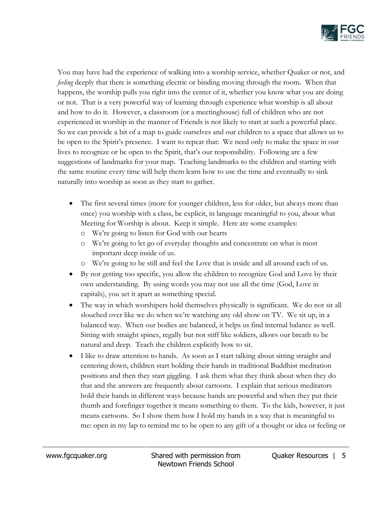

You may have had the experience of walking into a worship service, whether Quaker or not, and *feeling* deeply that there is something electric or binding moving through the room. When that happens, the worship pulls you right into the center of it, whether you know what you are doing or not. That is a very powerful way of learning through experience what worship is all about and how to do it. However, a classroom (or a meetinghouse) full of children who are not experienced in worship in the manner of Friends is not likely to start at such a powerful place. So we can provide a bit of a map to guide ourselves and our children to a space that allows us to be open to the Spirit's presence. I want to repeat that: We need only to make the space in our lives to recognize or be open to the Spirit, that's our responsibility. Following are a few suggestions of landmarks for your map. Teaching landmarks to the children and starting with the same routine every time will help them learn how to use the time and eventually to sink naturally into worship as soon as they start to gather.

- The first several times (more for younger children, less for older, but always more than once) you worship with a class, be explicit, in language meaningful to you, about what Meeting for Worship is about. Keep it simple. Here are some examples:
	- o We're going to listen for God with our hearts
	- o We're going to let go of everyday thoughts and concentrate on what is most important deep inside of us.
	- o We're going to be still and feel the Love that is inside and all around each of us.
- By not getting too specific, you allow the children to recognize God and Love by their own understanding. By using words you may not use all the time (God, Love in capitals), you set it apart as something special.
- The way in which worshipers hold themselves physically is significant. We do not sit all slouched over like we do when we're watching any old show on TV. We sit up, in a balanced way. When our bodies are balanced, it helps us find internal balance as well. Sitting with straight spines, regally but not stiff like soldiers, allows our breath to be natural and deep. Teach the children explicitly how to sit.
- I like to draw attention to hands. As soon as I start talking about sitting straight and centering down, children start holding their hands in traditional Buddhist meditation positions and then they start giggling. I ask them what they think about when they do that and the answers are frequently about cartoons. I explain that serious meditators hold their hands in different ways because hands are powerful and when they put their thumb and forefinger together it means something to them. To the kids, however, it just means cartoons. So I show them how I hold my hands in a way that is meaningful to me: open in my lap to remind me to be open to any gift of a thought or idea or feeling or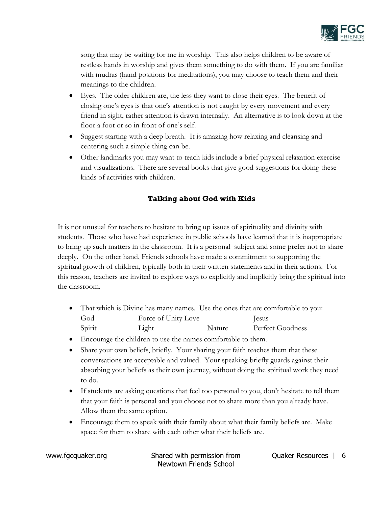

song that may be waiting for me in worship. This also helps children to be aware of restless hands in worship and gives them something to do with them. If you are familiar with mudras (hand positions for meditations), you may choose to teach them and their meanings to the children.

- Eyes. The older children are, the less they want to close their eyes. The benefit of closing one's eyes is that one's attention is not caught by every movement and every friend in sight, rather attention is drawn internally. An alternative is to look down at the floor a foot or so in front of one's self.
- Suggest starting with a deep breath. It is amazing how relaxing and cleansing and centering such a simple thing can be.
- Other landmarks you may want to teach kids include a brief physical relaxation exercise and visualizations. There are several books that give good suggestions for doing these kinds of activities with children.

## **Talking about God with Kids**

It is not unusual for teachers to hesitate to bring up issues of spirituality and divinity with students. Those who have had experience in public schools have learned that it is inappropriate to bring up such matters in the classroom. It is a personal subject and some prefer not to share deeply. On the other hand, Friends schools have made a commitment to supporting the spiritual growth of children, typically both in their written statements and in their actions. For this reason, teachers are invited to explore ways to explicitly and implicitly bring the spiritual into the classroom.

- That which is Divine has many names. Use the ones that are comfortable to you: God Force of Unity Love Jesus Spirit Light Light Nature Perfect Goodness
- Encourage the children to use the names comfortable to them.
- Share your own beliefs, briefly. Your sharing your faith teaches them that these conversations are acceptable and valued. Your speaking briefly guards against their absorbing your beliefs as their own journey, without doing the spiritual work they need to do.
- If students are asking questions that feel too personal to you, don't hesitate to tell them that your faith is personal and you choose not to share more than you already have. Allow them the same option.
- Encourage them to speak with their family about what their family beliefs are. Make space for them to share with each other what their beliefs are.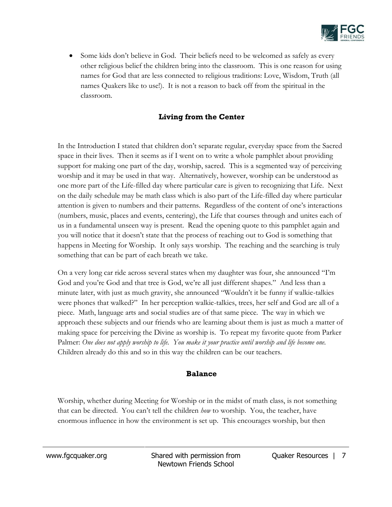

 Some kids don't believe in God. Their beliefs need to be welcomed as safely as every other religious belief the children bring into the classroom. This is one reason for using names for God that are less connected to religious traditions: Love, Wisdom, Truth (all names Quakers like to use!). It is not a reason to back off from the spiritual in the classroom.

### **Living from the Center**

In the Introduction I stated that children don't separate regular, everyday space from the Sacred space in their lives. Then it seems as if I went on to write a whole pamphlet about providing support for making one part of the day, worship, sacred. This is a segmented way of perceiving worship and it may be used in that way. Alternatively, however, worship can be understood as one more part of the Life-filled day where particular care is given to recognizing that Life. Next on the daily schedule may be math class which is also part of the Life-filled day where particular attention is given to numbers and their patterns. Regardless of the content of one's interactions (numbers, music, places and events, centering), the Life that courses through and unites each of us in a fundamental unseen way is present. Read the opening quote to this pamphlet again and you will notice that it doesn't state that the process of reaching out to God is something that happens in Meeting for Worship. It only says worship. The reaching and the searching is truly something that can be part of each breath we take.

On a very long car ride across several states when my daughter was four, she announced "I'm God and you're God and that tree is God, we're all just different shapes." And less than a minute later, with just as much gravity, she announced "Wouldn't it be funny if walkie-talkies were phones that walked?" In her perception walkie-talkies, trees, her self and God are all of a piece. Math, language arts and social studies are of that same piece. The way in which we approach these subjects and our friends who are learning about them is just as much a matter of making space for perceiving the Divine as worship is. To repeat my favorite quote from Parker Palmer: *One does not apply worship to life. You make it your practice until worship and life become one.* Children already do this and so in this way the children can be our teachers.

#### **Balance**

Worship, whether during Meeting for Worship or in the midst of math class, is not something that can be directed. You can't tell the children *how* to worship. You, the teacher, have enormous influence in how the environment is set up. This encourages worship, but then

www.fgcquaker.org Shared with permission from Newtown Friends School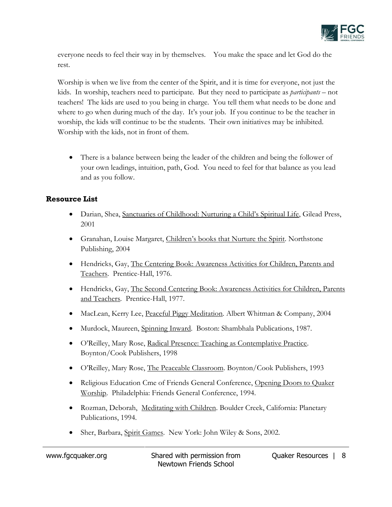

everyone needs to feel their way in by themselves. You make the space and let God do the rest.

Worship is when we live from the center of the Spirit, and it is time for everyone, not just the kids. In worship, teachers need to participate. But they need to participate as *participants* – not teachers! The kids are used to you being in charge. You tell them what needs to be done and where to go when during much of the day. It's your job. If you continue to be the teacher in worship, the kids will continue to be the students. Their own initiatives may be inhibited. Worship with the kids, not in front of them.

 There is a balance between being the leader of the children and being the follower of your own leadings, intuition, path, God. You need to feel for that balance as you lead and as you follow.

### **Resource List**

- Darian, Shea, Sanctuaries of Childhood: Nurturing a Child's Spiritual Life, Gilead Press, 2001
- Granahan, Louise Margaret, Children's books that Nurture the Spirit. Northstone Publishing, 2004
- Hendricks, Gay, The Centering Book: Awareness Activities for Children, Parents and Teachers. Prentice-Hall, 1976.
- Hendricks, Gay, The Second Centering Book: Awareness Activities for Children, Parents and Teachers. Prentice-Hall, 1977.
- MacLean, Kerry Lee, Peaceful Piggy Meditation. Albert Whitman & Company, 2004
- Murdock, Maureen, Spinning Inward. Boston: Shambhala Publications, 1987.
- O'Reilley, Mary Rose, Radical Presence: Teaching as Contemplative Practice. Boynton/Cook Publishers, 1998
- O'Reilley, Mary Rose, The Peaceable Classroom. Boynton/Cook Publishers, 1993
- Religious Education Cme of Friends General Conference, Opening Doors to Quaker Worship. Philadelphia: Friends General Conference, 1994.
- Rozman, Deborah, Meditating with Children. Boulder Creek, California: Planetary Publications, 1994.
- Sher, Barbara, Spirit Games. New York: John Wiley & Sons, 2002.